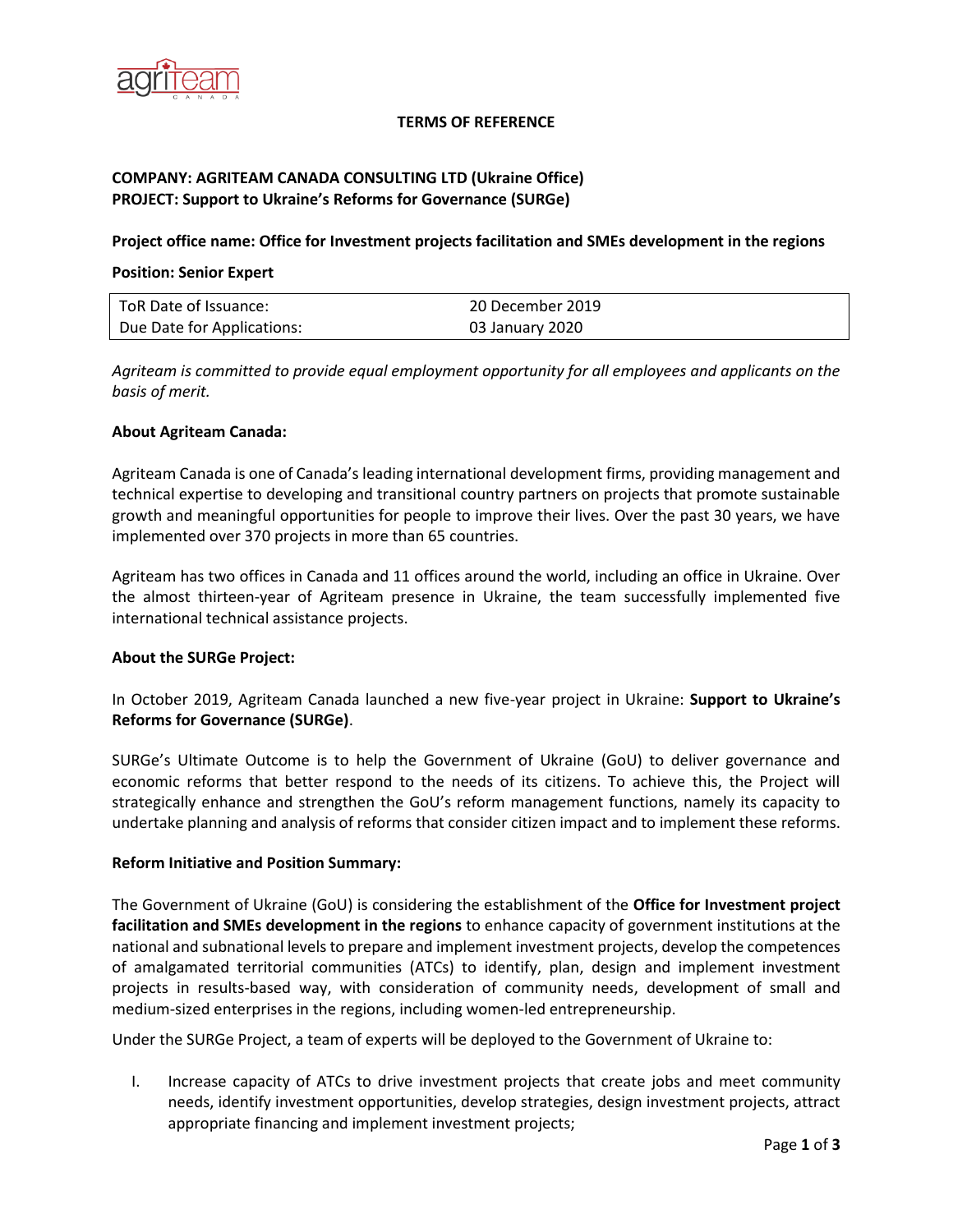

## **TERMS OF REFERENCE**

# **COMPANY: AGRITEAM CANADA CONSULTING LTD (Ukraine Office) PROJECT: Support to Ukraine's Reforms for Governance (SURGe)**

## **Project office name: Office for Investment projects facilitation and SMEs development in the regions**

### **Position: Senior Expert**

| ToR Date of Issuance:      | 20 December 2019 |
|----------------------------|------------------|
| Due Date for Applications: | 03 January 2020  |

*Agriteam is committed to provide equal employment opportunity for all employees and applicants on the basis of merit.*

### **About Agriteam Canada:**

Agriteam Canada is one of Canada's leading international development firms, providing management and technical expertise to developing and transitional country partners on projects that promote sustainable growth and meaningful opportunities for people to improve their lives. Over the past 30 years, we have implemented over 370 projects in more than 65 countries.

Agriteam has two offices in Canada and 11 offices around the world, including an office in Ukraine. Over the almost thirteen-year of Agriteam presence in Ukraine, the team successfully implemented five international technical assistance projects.

## **About the SURGe Project:**

In October 2019, Agriteam Canada launched a new five-year project in Ukraine: **Support to Ukraine's Reforms for Governance (SURGe)**.

SURGe's Ultimate Outcome is to help the Government of Ukraine (GoU) to deliver governance and economic reforms that better respond to the needs of its citizens. To achieve this, the Project will strategically enhance and strengthen the GoU's reform management functions, namely its capacity to undertake planning and analysis of reforms that consider citizen impact and to implement these reforms.

#### **Reform Initiative and Position Summary:**

The Government of Ukraine (GoU) is considering the establishment of the **Office for Investment project facilitation and SMEs development in the regions** to enhance capacity of government institutions at the national and subnational levels to prepare and implement investment projects, develop the competences of amalgamated territorial communities (ATCs) to identify, plan, design and implement investment projects in results-based way, with consideration of community needs, development of small and medium-sized enterprises in the regions, including women-led entrepreneurship.

Under the SURGe Project, a team of experts will be deployed to the Government of Ukraine to:

I. Increase capacity of ATCs to drive investment projects that create jobs and meet community needs, identify investment opportunities, develop strategies, design investment projects, attract appropriate financing and implement investment projects;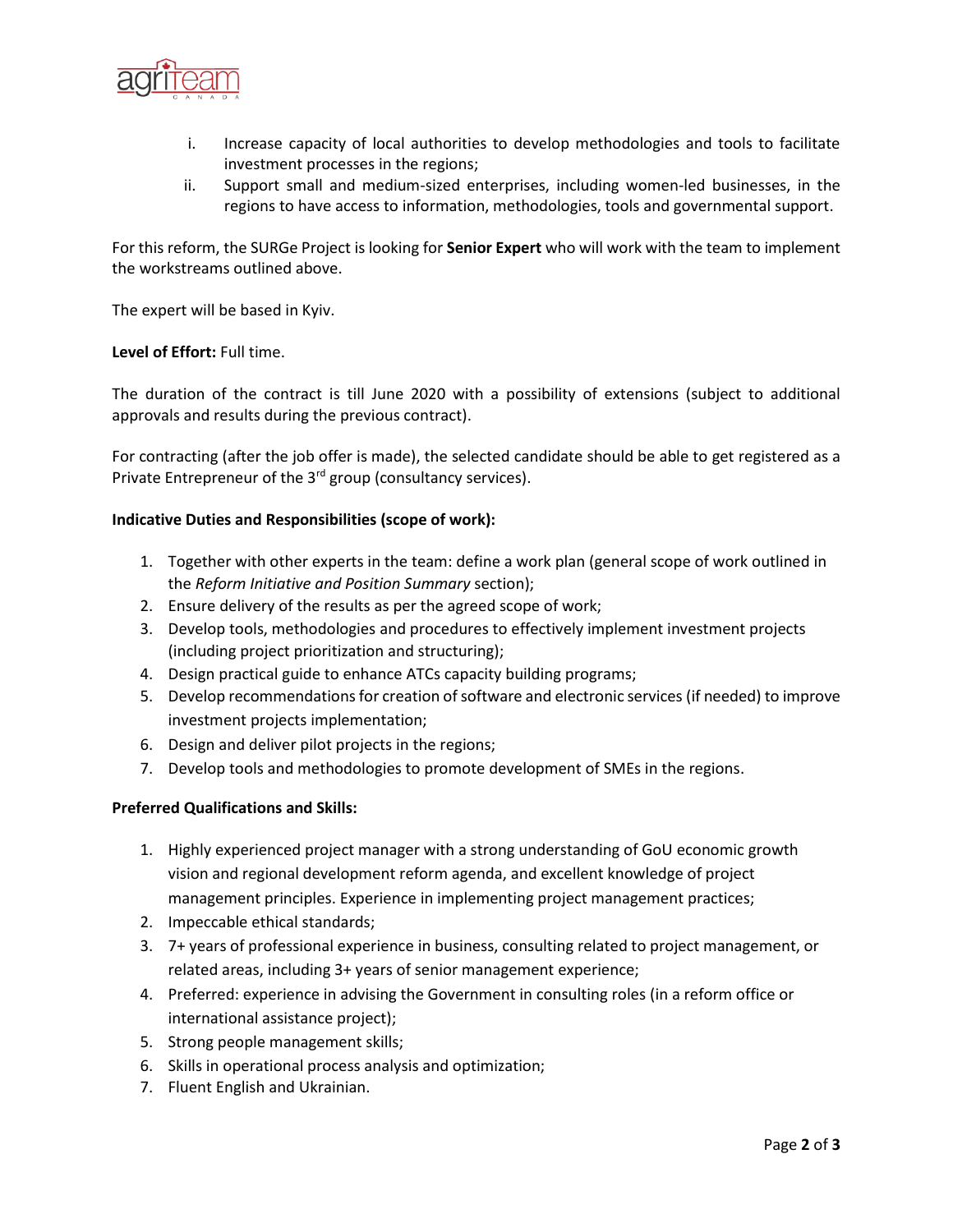

- i. Increase capacity of local authorities to develop methodologies and tools to facilitate investment processes in the regions;
- ii. Support small and medium-sized enterprises, including women-led businesses, in the regions to have access to information, methodologies, tools and governmental support.

For this reform, the SURGe Project is looking for **Senior Expert** who will work with the team to implement the workstreams outlined above.

The expert will be based in Kyiv.

## **Level of Effort:** Full time.

The duration of the contract is till June 2020 with a possibility of extensions (subject to additional approvals and results during the previous contract).

For contracting (after the job offer is made), the selected candidate should be able to get registered as a Private Entrepreneur of the 3<sup>rd</sup> group (consultancy services).

## **Indicative Duties and Responsibilities (scope of work):**

- 1. Together with other experts in the team: define a work plan (general scope of work outlined in the *Reform Initiative and Position Summary* section);
- 2. Ensure delivery of the results as per the agreed scope of work;
- 3. Develop tools, methodologies and procedures to effectively implement investment projects (including project prioritization and structuring);
- 4. Design practical guide to enhance ATCs capacity building programs;
- 5. Develop recommendations for creation of software and electronic services (if needed) to improve investment projects implementation;
- 6. Design and deliver pilot projects in the regions;
- 7. Develop tools and methodologies to promote development of SMEs in the regions.

## **Preferred Qualifications and Skills:**

- 1. Highly experienced project manager with a strong understanding of GoU economic growth vision and regional development reform agenda, and excellent knowledge of project management principles. Experience in implementing project management practices;
- 2. Impeccable ethical standards;
- 3. 7+ years of professional experience in business, consulting related to project management, or related areas, including 3+ years of senior management experience;
- 4. Preferred: experience in advising the Government in consulting roles (in a reform office or international assistance project);
- 5. Strong people management skills;
- 6. Skills in operational process analysis and optimization;
- 7. Fluent English and Ukrainian.